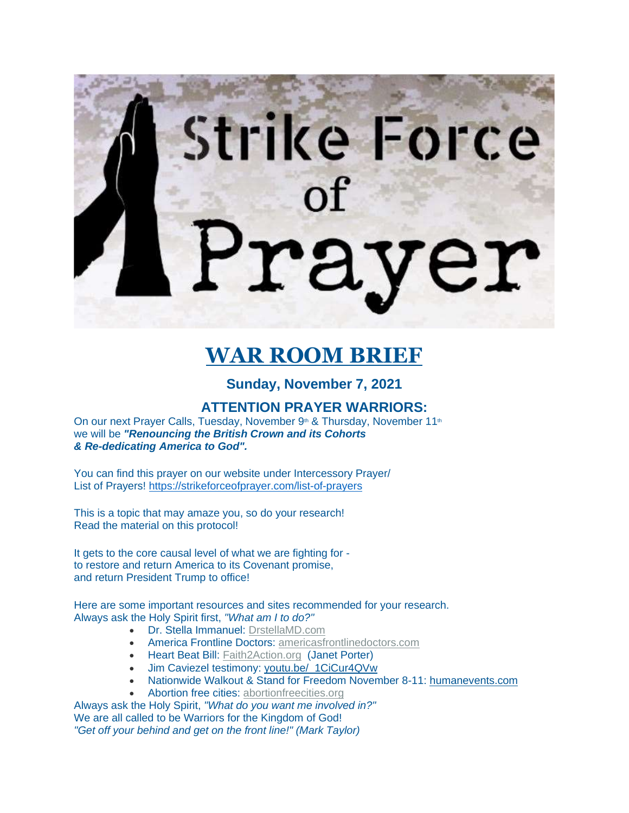# Strike Force

# **WAR ROOM BRIEF**

# **Sunday, November 7, 2021**

## **ATTENTION PRAYER WARRIORS:**

On our next Prayer Calls, Tuesday, November 9<sup>th</sup> & Thursday, November 11<sup>th</sup> we will be *"Renouncing the British Crown and its Cohorts & Re-dedicating America to God".*

You can find this prayer on our website under Intercessory Prayer/ List of Prayers! <https://strikeforceofprayer.com/list-of-prayers>

This is a topic that may amaze you, so do your research! Read the material on this protocol!

It gets to the core causal level of what we are fighting for to restore and return America to its Covenant promise, and return President Trump to office!

Here are some important resources and sites recommended for your research. Always ask the Holy Spirit first, *"What am I to do?"*

- Dr. Stella Immanuel: [DrstellaMD.com](https://drstellamd.com/)
- America Frontline Doctors: [americasfrontlinedoctors.com](https://www.americasfrontlinedoctors.org/)
- Heart Beat Bill: [Faith2Action.org](http://2020.f2a.org/) (Janet Porter)
- Jim Caviezel testimony: [youtu.be/\\_1CiCur4QVw](https://www.youtube.com/watch?v=_1CiCur4QVw)
- Nationwide Walkout & Stand for Freedom November 8-11: [humanevents.com](https://humanevents.com/2021/11/01/nationwide-walkout-for-freedom-slated-)
- Abortion free cities: [abortionfreecities.org](http://abortionfreecities.org/)

Always ask the Holy Spirit, *"What do you want me involved in?"* We are all called to be Warriors for the Kingdom of God!

*"Get off your behind and get on the front line!" (Mark Taylor)*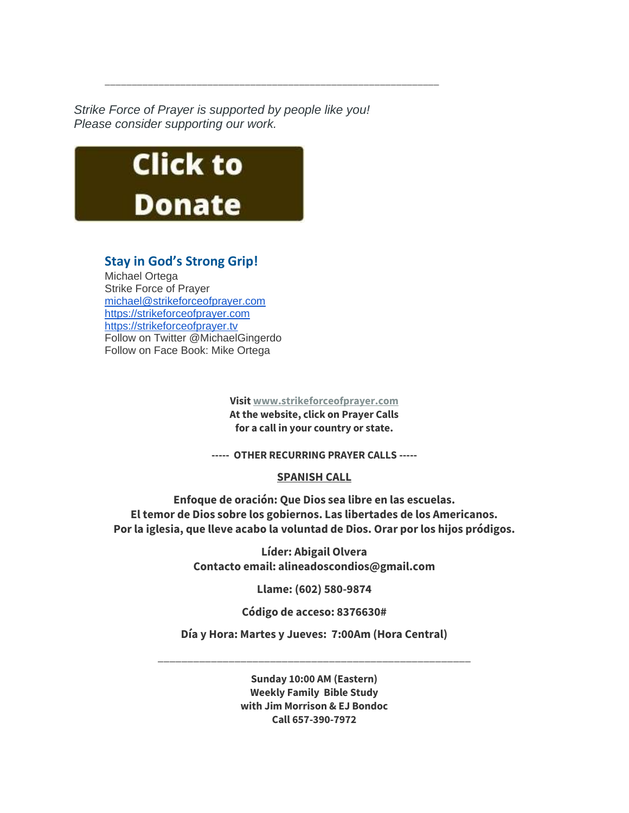*Strike Force of Prayer is supported by people like you! Please consider supporting our work.*

\_\_\_\_\_\_\_\_\_\_\_\_\_\_\_\_\_\_\_\_\_\_\_\_\_\_\_\_\_\_\_\_\_\_\_\_\_\_\_\_\_\_\_\_\_\_\_\_\_\_\_\_\_\_\_\_\_\_\_\_\_\_



# **Stay in God's Strong Grip!**

Michael Ortega Strike Force of Prayer [michael@strikeforceofprayer.com](http://mailing.strikeforceofprayer.com/lt.php?tid=Kk5QV1RWUQxUAE8DXQICSwYGVF1OVlNUURUODAsGVQgGCwIEAw1MUlAHW1MFBFZLAgVSAk4AAA4EFQBeV1RMVgAAU18DUQACUAIDTVJUB14LAAZVTgQGUgMVDAFWAUwIVFNTS1UFVVFQAQAAXVYCAg) [https://strikeforceofprayer.com](https://strikeforceofprayer.us17.list-manage.com/track/click?u=30e1fdc9ef72d2ad852be26e9&id=88763f3751&e=cf8e0c7e26) [https://strikeforceofprayer.tv](https://strikeforceofprayer.tv/) Follow on Twitter @MichaelGingerdo Follow on Face Book: Mike Ortega

> **Visit [www.strikeforceofprayer.com](http://mailing.strikeforceofprayer.com/lt.php?tid=Kk4CUlNVUwJVVE8CVwMMSwZRW1ZODFJTCBVZDQEHBwgHBlUDBlVMDVcEWgRSAABLVwwEBk4AUwUAFVoJAwZMCQcEAFIHA1NSUlJXTVJUB14LAAZVTgQGUgMVDAFWAUwIVFNTS1UFVVFQAQAAXVYCAg) At the website, click on Prayer Calls for a call in your country or state.**

**----- OTHER RECURRING PRAYER CALLS -----**

**SPANISH CALL**

**Enfoque de oración: Que Dios sea libre en las escuelas. El temor de Dios sobre los gobiernos. Las libertades de los Americanos. Por la iglesia, que lleve acabo la voluntad de Dios. Orar por los hijos pródigos.**

> **Líder: Abigail Olvera Contacto email: alineadoscondios@gmail.com**

> > **Llame: (602) 580-9874**

**Código de acceso: 8376630#**

**Día y Hora: Martes y Jueves: 7:00Am (Hora Central)**

\_\_\_\_\_\_\_\_\_\_\_\_\_\_\_\_\_\_\_\_\_\_\_\_\_\_\_\_\_\_\_\_\_\_\_\_\_\_\_\_\_\_\_\_\_\_\_\_\_\_\_\_\_

**Sunday 10:00 AM (Eastern) Weekly Family Bible Study with Jim Morrison & EJ Bondoc Call 657-390-7972**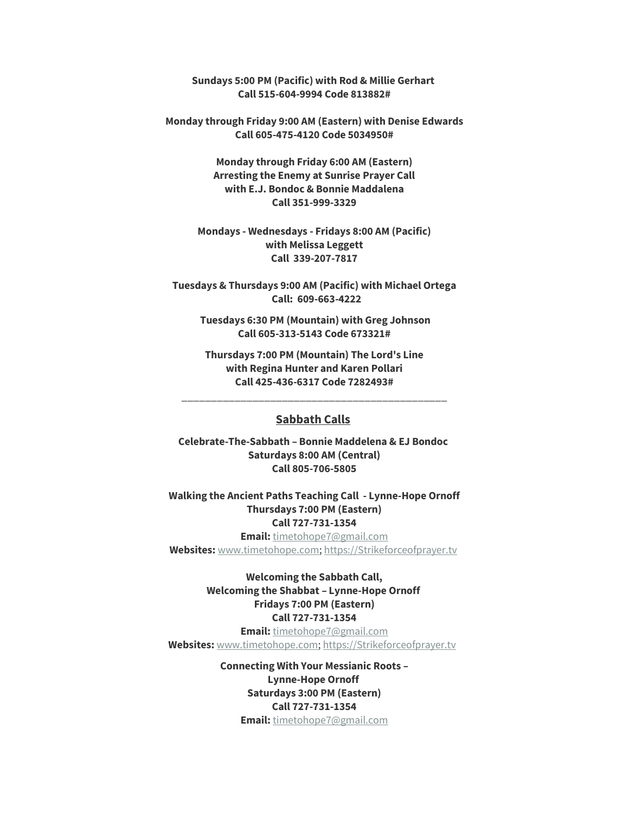**Sundays 5:00 PM (Pacific) with Rod & Millie Gerhart Call 515-604-9994 Code 813882#**

**Monday through Friday 9:00 AM (Eastern) with Denise Edwards Call 605-475-4120 Code 5034950#**

> **Monday through Friday 6:00 AM (Eastern) Arresting the Enemy at Sunrise Prayer Call with E.J. Bondoc & Bonnie Maddalena Call 351-999-3329**

**Mondays - Wednesdays - Fridays 8:00 AM (Pacific) with Melissa Leggett Call 339-207-7817**

**Tuesdays & Thursdays 9:00 AM (Pacific) with Michael Ortega Call: 609-663-4222**

**Tuesdays 6:30 PM (Mountain) with Greg Johnson Call 605-313-5143 Code 673321#**

**Thursdays 7:00 PM (Mountain) The Lord's Line with Regina Hunter and Karen Pollari Call 425-436-6317 Code 7282493#**

\_\_\_\_\_\_\_\_\_\_\_\_\_\_\_\_\_\_\_\_\_\_\_\_\_\_\_\_\_\_\_\_\_\_\_\_\_\_\_\_\_\_\_\_\_

### **Sabbath Calls**

**Celebrate-The-Sabbath – Bonnie Maddelena & EJ Bondoc Saturdays 8:00 AM (Central) Call 805-706-5805**

**Walking the Ancient Paths Teaching Call - Lynne-Hope Ornoff Thursdays 7:00 PM (Eastern) Call 727-731-1354**

**Email:** [timetohope7@gmail.com](mailto:timetohope7@gmail.com) **Websites:** [www.timetohope.com;](http://www.timetohope.com/) [https://Strikeforceofprayer.tv](https://strikeforceofprayer.tv/)

> **Welcoming the Sabbath Call, Welcoming the Shabbat – Lynne-Hope Ornoff Fridays 7:00 PM (Eastern) Call 727-731-1354**

**Email:** [timetohope7@gmail.com](mailto:timetohope7@gmail.com) **Websites:** [www.timetohope.com;](http://www.timetohope.com/) [https://Strikeforceofprayer.tv](https://strikeforceofprayer.tv/)

> **Connecting With Your Messianic Roots – Lynne-Hope Ornoff Saturdays 3:00 PM (Eastern) Call 727-731-1354 Email:** [timetohope7@gmail.com](mailto:timetohope7@gmail.com)